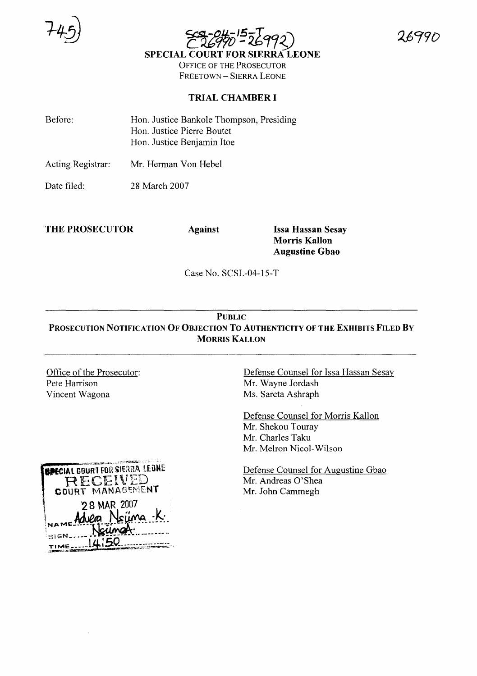



OFFICE OF THE PROSECUTOR FREETOWN - SIERRA LEONE

#### **TRIAL CHAMBER I**

| Before: | Hon. Justice Bankole Thompson, Presiding |
|---------|------------------------------------------|
|         | Hon. Justice Pierre Boutet               |
|         | Hon. Justice Benjamin Itoe               |

Acting Registrar: Mr. Herman Von Hebel

Date filed: 28 March 2007

**THE PROSECUTOR Against Issa Hassan Sesay**

**Morris Kallon Augustine Gbao**

Case No. SCSL-04-15-T

### **PUBLIC PROSECUTION NOTIFICATION OF OBJECTION To AUTHENTICITY OF THE EXHIBITS FILED By MORRIS KALLON**

Office of the Prosecutor: Pete Harrison Vincent Wagona

Defense Counsel for Issa Hassan Sesay Mr. Wayne Jordash Ms. Sareta Ashraph

Defense Counsel for Morris Kallon Mr. Shekou Touray Mr. Charles Taku Mr. Melron Nicol-Wilson

Defense Counsel for Augustine Gbao Mr. Andreas O'Shea Mr. John Cammegh

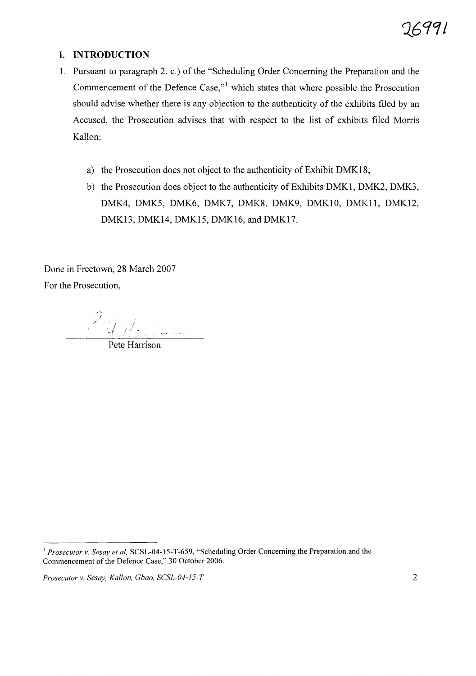#### **I. INTRODUCTION**

- 1. Pursuant to paragraph 2. c.) of the "Scheduling Order Concerning the Preparation and the Commencement of the Defence Case, $v<sup>1</sup>$  which states that where possible the Prosecution should advise whether there is any objection to the authenticity of the exhibits filed by an Accused, the Prosecution advises that with respect to the list of exhibits filed Morris Kallon:
	- a) the Prosecution does not object to the authenticity of Exhibit DMK18;
	- b) the Prosecution does object to the authenticity of Exhibits DMKI, DMK2, DMK3, DMK4, DMK5, DMK6, DMK7, DMK8, DMK9, DMKIO, DMKll, DMK12, DMK13, DMK14, DMK15, DMK16, and DMK17.

Done in Freetown, 28 March 2007 For the Prosecution,

 $Z_{\parallel f}$ -I

Pete Harrison

<sup>&</sup>lt;sup>1</sup> Prosecutor v. Sesay et al, SCSL-04-15-T-659, "Scheduling Order Concerning the Preparation and the Commencement of the Defence Case," 30 October 2006.

*Prosecutor* v. *Sesay, Kallon, Gbao, SCSL-04-15-T* 2